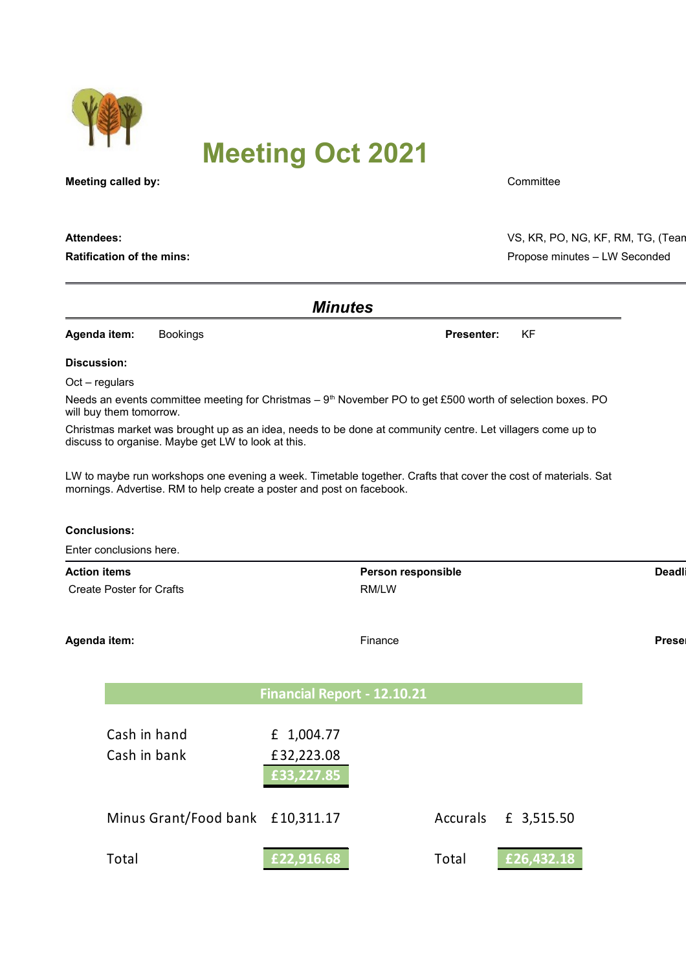

# **Meeting Oct 2021**

**Meeting called by:** Committee

| <b>Minutes</b>                                                                                                                                                   |                                                                                                                                                                                         |            |                    |                   |           |            |  |        |
|------------------------------------------------------------------------------------------------------------------------------------------------------------------|-----------------------------------------------------------------------------------------------------------------------------------------------------------------------------------------|------------|--------------------|-------------------|-----------|------------|--|--------|
| Agenda item:                                                                                                                                                     | <b>Bookings</b>                                                                                                                                                                         |            |                    | <b>Presenter:</b> | <b>KF</b> |            |  |        |
| <b>Discussion:</b>                                                                                                                                               |                                                                                                                                                                                         |            |                    |                   |           |            |  |        |
| $Oct - regulars$                                                                                                                                                 |                                                                                                                                                                                         |            |                    |                   |           |            |  |        |
| Needs an events committee meeting for Christmas – 9 <sup>th</sup> November PO to get £500 worth of selection boxes. PO<br>will buy them tomorrow.                |                                                                                                                                                                                         |            |                    |                   |           |            |  |        |
| Christmas market was brought up as an idea, needs to be done at community centre. Let villagers come up to<br>discuss to organise. Maybe get LW to look at this. |                                                                                                                                                                                         |            |                    |                   |           |            |  |        |
|                                                                                                                                                                  | LW to maybe run workshops one evening a week. Timetable together. Crafts that cover the cost of materials. Sat<br>mornings. Advertise. RM to help create a poster and post on facebook. |            |                    |                   |           |            |  |        |
| <b>Conclusions:</b>                                                                                                                                              |                                                                                                                                                                                         |            |                    |                   |           |            |  |        |
|                                                                                                                                                                  | Enter conclusions here.                                                                                                                                                                 |            |                    |                   |           |            |  |        |
| <b>Action items</b>                                                                                                                                              |                                                                                                                                                                                         |            | Person responsible |                   |           |            |  | Deadli |
|                                                                                                                                                                  | <b>Create Poster for Crafts</b>                                                                                                                                                         |            | RM/LW              |                   |           |            |  |        |
| Agenda item:                                                                                                                                                     |                                                                                                                                                                                         |            | Finance            |                   |           |            |  | Preser |
|                                                                                                                                                                  | <b>Financial Report - 12.10.21</b>                                                                                                                                                      |            |                    |                   |           |            |  |        |
|                                                                                                                                                                  | Cash in hand                                                                                                                                                                            | £ 1,004.77 |                    |                   |           |            |  |        |
|                                                                                                                                                                  | Cash in bank                                                                                                                                                                            | £32,223.08 |                    |                   |           |            |  |        |
|                                                                                                                                                                  |                                                                                                                                                                                         | 33.227.85  |                    |                   |           |            |  |        |
|                                                                                                                                                                  | Minus Grant/Food bank £10,311.17                                                                                                                                                        |            |                    | Accurals          |           | £ 3,515.50 |  |        |
|                                                                                                                                                                  | Total                                                                                                                                                                                   | E22,916.68 |                    | Total             |           | £26,432.18 |  |        |
|                                                                                                                                                                  |                                                                                                                                                                                         |            |                    |                   |           |            |  |        |

**Attendees:** VS, KR, PO, NG, KF, RM, TG, (Tean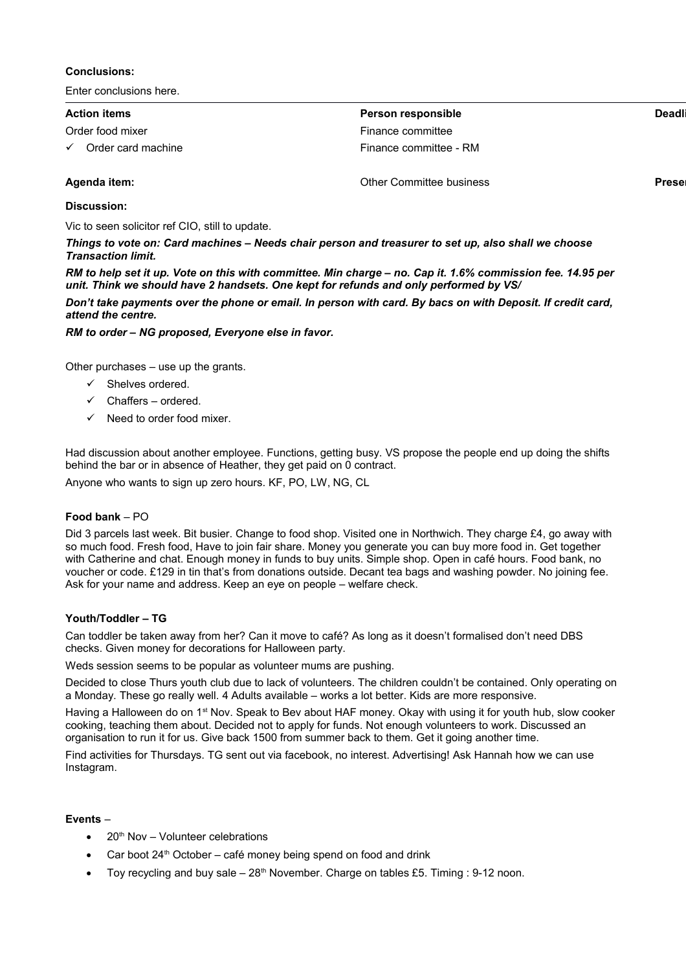## **Conclusions:**

Enter conclusions here.

| <b>Action items</b>                | Person responsible       | Deadli        |  |
|------------------------------------|--------------------------|---------------|--|
| Order food mixer                   | Finance committee        |               |  |
| Order card machine<br>$\checkmark$ | Finance committee - RM   |               |  |
| Agenda item:                       | Other Committee business | <b>Presel</b> |  |

## **Discussion:**

Vic to seen solicitor ref CIO, still to update.

*Things to vote on: Card machines – Needs chair person and treasurer to set up, also shall we choose Transaction limit.* 

*RM to help set it up. Vote on this with committee. Min charge – no. Cap it. 1.6% commission fee. 14.95 per unit. Think we should have 2 handsets. One kept for refunds and only performed by VS/*

*Don't take payments over the phone or email. In person with card. By bacs on with Deposit. If credit card, attend the centre.* 

*RM to order – NG proposed, Everyone else in favor.* 

Other purchases – use up the grants.

- $\checkmark$  Shelves ordered.
- $\checkmark$  Chaffers ordered.
- Need to order food mixer.

Had discussion about another employee. Functions, getting busy. VS propose the people end up doing the shifts behind the bar or in absence of Heather, they get paid on 0 contract.

Anyone who wants to sign up zero hours. KF, PO, LW, NG, CL

## **Food bank** – PO

Did 3 parcels last week. Bit busier. Change to food shop. Visited one in Northwich. They charge £4, go away with so much food. Fresh food, Have to join fair share. Money you generate you can buy more food in. Get together with Catherine and chat. Enough money in funds to buy units. Simple shop. Open in café hours. Food bank, no voucher or code. £129 in tin that's from donations outside. Decant tea bags and washing powder. No joining fee. Ask for your name and address. Keep an eye on people – welfare check.

## **Youth/Toddler – TG**

Can toddler be taken away from her? Can it move to café? As long as it doesn't formalised don't need DBS checks. Given money for decorations for Halloween party.

Weds session seems to be popular as volunteer mums are pushing.

Decided to close Thurs youth club due to lack of volunteers. The children couldn't be contained. Only operating on a Monday. These go really well. 4 Adults available – works a lot better. Kids are more responsive.

Having a Halloween do on 1<sup>st</sup> Nov. Speak to Bev about HAF money. Okay with using it for youth hub, slow cooker cooking, teaching them about. Decided not to apply for funds. Not enough volunteers to work. Discussed an organisation to run it for us. Give back 1500 from summer back to them. Get it going another time.

Find activities for Thursdays. TG sent out via facebook, no interest. Advertising! Ask Hannah how we can use Instagram.

#### **Events** –

- $\bullet$  20<sup>th</sup> Nov Volunteer celebrations
- Car boot  $24<sup>th</sup>$  October café money being spend on food and drink
- Toy recycling and buy sale  $-28<sup>th</sup>$  November. Charge on tables £5. Timing : 9-12 noon.